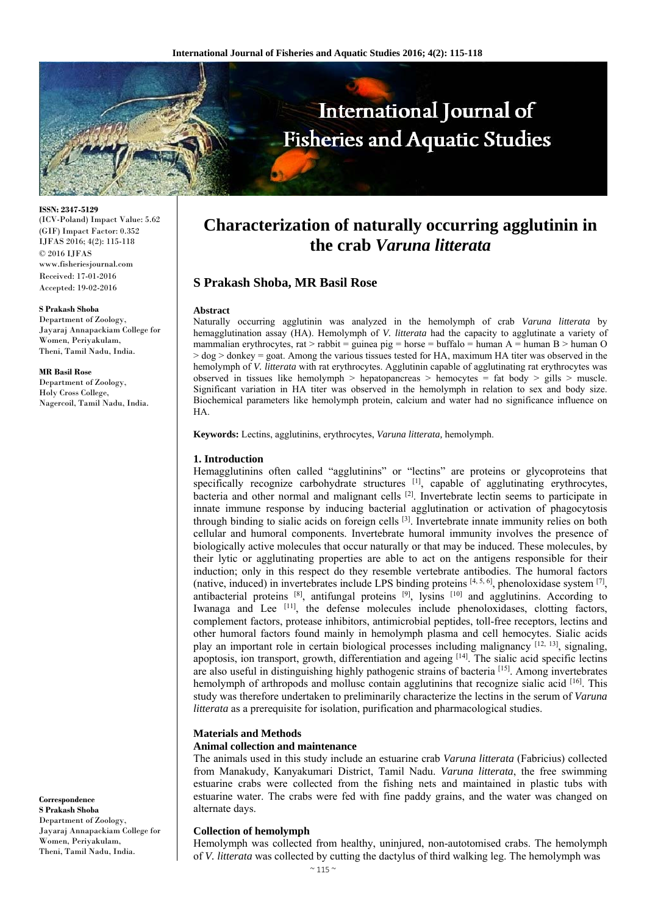

**ISSN: 2347-5129**  (ICV-Poland) Impact Value: 5.62 (GIF) Impact Factor: 0.352 IJFAS 2016; 4(2): 115-118 © 2016 IJFAS www.fisheriesjournal.com Received: 17-01-2016 Accepted: 19-02-2016

#### **S Prakash Shoba**

Department of Zoology, Jayaraj Annapackiam College for Women, Periyakulam, Theni, Tamil Nadu, India.

#### **MR Basil Rose**

Department of Zoology, Holy Cross College, Nagercoil, Tamil Nadu, India.

#### **Correspondence S Prakash Shoba**  Department of Zoology, Jayaraj Annapackiam College for Women, Periyakulam, Theni, Tamil Nadu, India.

# **Characterization of naturally occurring agglutinin in the crab** *Varuna litterata*

# **S Prakash Shoba, MR Basil Rose**

#### **Abstract**

Naturally occurring agglutinin was analyzed in the hemolymph of crab *Varuna litterata* by hemagglutination assay (HA). Hemolymph of *V. litterata* had the capacity to agglutinate a variety of mammalian erythrocytes, rat > rabbit = guinea pig = horse = buffalo = human A = human B > human O  $>$  dog  $>$  donkey = goat. Among the various tissues tested for HA, maximum HA titer was observed in the hemolymph of *V. litterata* with rat erythrocytes. Agglutinin capable of agglutinating rat erythrocytes was observed in tissues like hemolymph > hepatopancreas > hemocytes = fat body > gills > muscle. Significant variation in HA titer was observed in the hemolymph in relation to sex and body size. Biochemical parameters like hemolymph protein, calcium and water had no significance influence on HA.

**Keywords:** Lectins, agglutinins, erythrocytes, *Varuna litterata,* hemolymph.

## **1. Introduction**

Hemagglutinins often called "agglutinins" or "lectins" are proteins or glycoproteins that specifically recognize carbohydrate structures  $\begin{bmatrix} 1 \end{bmatrix}$ , capable of agglutinating erythrocytes, bacteria and other normal and malignant cells [2]. Invertebrate lectin seems to participate in innate immune response by inducing bacterial agglutination or activation of phagocytosis through binding to sialic acids on foreign cells [3]. Invertebrate innate immunity relies on both cellular and humoral components. Invertebrate humoral immunity involves the presence of biologically active molecules that occur naturally or that may be induced. These molecules, by their lytic or agglutinating properties are able to act on the antigens responsible for their induction; only in this respect do they resemble vertebrate antibodies. The humoral factors (native, induced) in invertebrates include LPS binding proteins  $[4, 5, 6]$ , phenoloxidase system  $[7]$ , antibacterial proteins [8], antifungal proteins [9], lysins [10] and agglutinins. According to Iwanaga and Lee [11], the defense molecules include phenoloxidases, clotting factors, complement factors, protease inhibitors, antimicrobial peptides, toll-free receptors, lectins and other humoral factors found mainly in hemolymph plasma and cell hemocytes. Sialic acids play an important role in certain biological processes including malignancy [12, 13], signaling, apoptosis, ion transport, growth, differentiation and ageing [14]. The sialic acid specific lectins are also useful in distinguishing highly pathogenic strains of bacteria [15]. Among invertebrates hemolymph of arthropods and mollusc contain agglutinins that recognize sialic acid  $[16]$ . This study was therefore undertaken to preliminarily characterize the lectins in the serum of *Varuna litterata* as a prerequisite for isolation, purification and pharmacological studies.

#### **Materials and Methods**

## **Animal collection and maintenance**

The animals used in this study include an estuarine crab *Varuna litterata* (Fabricius) collected from Manakudy, Kanyakumari District, Tamil Nadu. *Varuna litterata*, the free swimming estuarine crabs were collected from the fishing nets and maintained in plastic tubs with estuarine water. The crabs were fed with fine paddy grains, and the water was changed on alternate days.

## **Collection of hemolymph**

Hemolymph was collected from healthy, uninjured, non-autotomised crabs. The hemolymph of *V. litterata* was collected by cutting the dactylus of third walking leg. The hemolymph was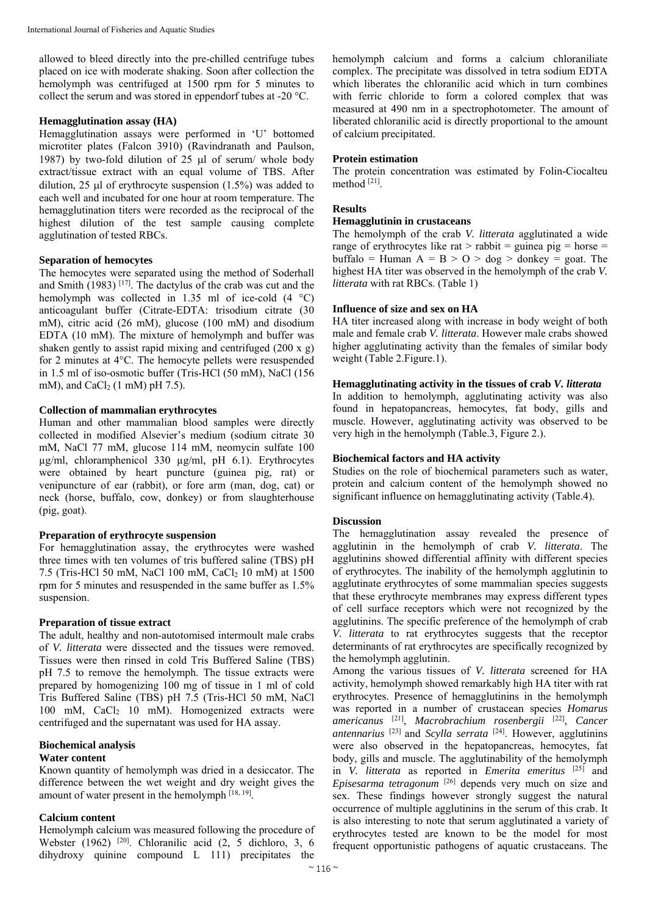allowed to bleed directly into the pre-chilled centrifuge tubes placed on ice with moderate shaking. Soon after collection the hemolymph was centrifuged at 1500 rpm for 5 minutes to collect the serum and was stored in eppendorf tubes at -20 °C.

## **Hemagglutination assay (HA)**

Hemagglutination assays were performed in 'U' bottomed microtiter plates (Falcon 3910) (Ravindranath and Paulson, 1987) by two-fold dilution of 25  $\mu$ l of serum/ whole body extract/tissue extract with an equal volume of TBS. After dilution, 25  $\mu$ l of erythrocyte suspension (1.5%) was added to each well and incubated for one hour at room temperature. The hemagglutination titers were recorded as the reciprocal of the highest dilution of the test sample causing complete agglutination of tested RBCs.

## **Separation of hemocytes**

The hemocytes were separated using the method of Soderhall and Smith  $(1983)$ <sup>[17]</sup>. The dactylus of the crab was cut and the hemolymph was collected in 1.35 ml of ice-cold  $(4 \degree C)$ anticoagulant buffer (Citrate-EDTA: trisodium citrate (30 mM), citric acid (26 mM), glucose (100 mM) and disodium EDTA (10 mM). The mixture of hemolymph and buffer was shaken gently to assist rapid mixing and centrifuged (200 x g) for 2 minutes at 4°C. The hemocyte pellets were resuspended in 1.5 ml of iso-osmotic buffer (Tris-HCl (50 mM), NaCl (156 mM), and CaCl<sub>2</sub> (1 mM) pH 7.5).

## **Collection of mammalian erythrocytes**

Human and other mammalian blood samples were directly collected in modified Alsevier's medium (sodium citrate 30 mM, NaCl 77 mM, glucose 114 mM, neomycin sulfate 100 µg/ml, chloramphenicol 330 µg/ml, pH 6.1). Erythrocytes were obtained by heart puncture (guinea pig, rat) or venipuncture of ear (rabbit), or fore arm (man, dog, cat) or neck (horse, buffalo, cow, donkey) or from slaughterhouse (pig, goat).

#### **Preparation of erythrocyte suspension**

For hemagglutination assay, the erythrocytes were washed three times with ten volumes of tris buffered saline (TBS) pH 7.5 (Tris-HCl 50 mM, NaCl 100 mM, CaCl<sub>2</sub> 10 mM) at 1500 rpm for 5 minutes and resuspended in the same buffer as 1.5% suspension.

## **Preparation of tissue extract**

The adult, healthy and non-autotomised intermoult male crabs of *V. litterata* were dissected and the tissues were removed. Tissues were then rinsed in cold Tris Buffered Saline (TBS) pH 7.5 to remove the hemolymph. The tissue extracts were prepared by homogenizing 100 mg of tissue in 1 ml of cold Tris Buffered Saline (TBS) pH 7.5 (Tris-HCl 50 mM, NaCl  $100$  mM, CaCl<sub>2</sub> 10 mM). Homogenized extracts were centrifuged and the supernatant was used for HA assay.

## **Biochemical analysis**

#### **Water content**

Known quantity of hemolymph was dried in a desiccator. The difference between the wet weight and dry weight gives the amount of water present in the hemolymph  $^{[18, 19]}$ .

## **Calcium content**

Hemolymph calcium was measured following the procedure of Webster (1962) [20]. Chloranilic acid (2, 5 dichloro, 3, 6 dihydroxy quinine compound L 111) precipitates the

hemolymph calcium and forms a calcium chloraniliate complex. The precipitate was dissolved in tetra sodium EDTA which liberates the chloranilic acid which in turn combines with ferric chloride to form a colored complex that was measured at 490 nm in a spectrophotometer. The amount of liberated chloranilic acid is directly proportional to the amount of calcium precipitated.

## **Protein estimation**

The protein concentration was estimated by Folin-Ciocalteu method [21].

# **Results**

## **Hemagglutinin in crustaceans**

The hemolymph of the crab *V. litterata* agglutinated a wide range of erythrocytes like rat  $>$  rabbit = guinea pig = horse = buffalo = Human  $A = B > 0 > dog >$  donkey = goat. The highest HA titer was observed in the hemolymph of the crab *V. litterata* with rat RBCs. (Table 1)

## **Influence of size and sex on HA**

HA titer increased along with increase in body weight of both male and female crab *V. litterata*. However male crabs showed higher agglutinating activity than the females of similar body weight (Table 2.Figure.1).

## **Hemagglutinating activity in the tissues of crab** *V. litterata*

In addition to hemolymph, agglutinating activity was also found in hepatopancreas, hemocytes, fat body, gills and muscle. However, agglutinating activity was observed to be very high in the hemolymph (Table.3, Figure 2.).

## **Biochemical factors and HA activity**

Studies on the role of biochemical parameters such as water, protein and calcium content of the hemolymph showed no significant influence on hemagglutinating activity (Table.4).

## **Discussion**

The hemagglutination assay revealed the presence of agglutinin in the hemolymph of crab *V. litterata*. The agglutinins showed differential affinity with different species of erythrocytes. The inability of the hemolymph agglutinin to agglutinate erythrocytes of some mammalian species suggests that these erythrocyte membranes may express different types of cell surface receptors which were not recognized by the agglutinins. The specific preference of the hemolymph of crab *V. litterata* to rat erythrocytes suggests that the receptor determinants of rat erythrocytes are specifically recognized by the hemolymph agglutinin.

Among the various tissues of *V. litterata* screened for HA activity, hemolymph showed remarkably high HA titer with rat erythrocytes. Presence of hemagglutinins in the hemolymph was reported in a number of crustacean species *Homarus americanus* [21], *Macrobrachium rosenbergii* [22], *Cancer antennarius* [23] and *Scylla serrata* [24]. However, agglutinins were also observed in the hepatopancreas, hemocytes, fat body, gills and muscle. The agglutinability of the hemolymph in *V. litterata* as reported in *Emerita emeritus* [25] and *Episesarma tetragonum* [26] depends very much on size and sex. These findings however strongly suggest the natural occurrence of multiple agglutinins in the serum of this crab. It is also interesting to note that serum agglutinated a variety of erythrocytes tested are known to be the model for most frequent opportunistic pathogens of aquatic crustaceans. The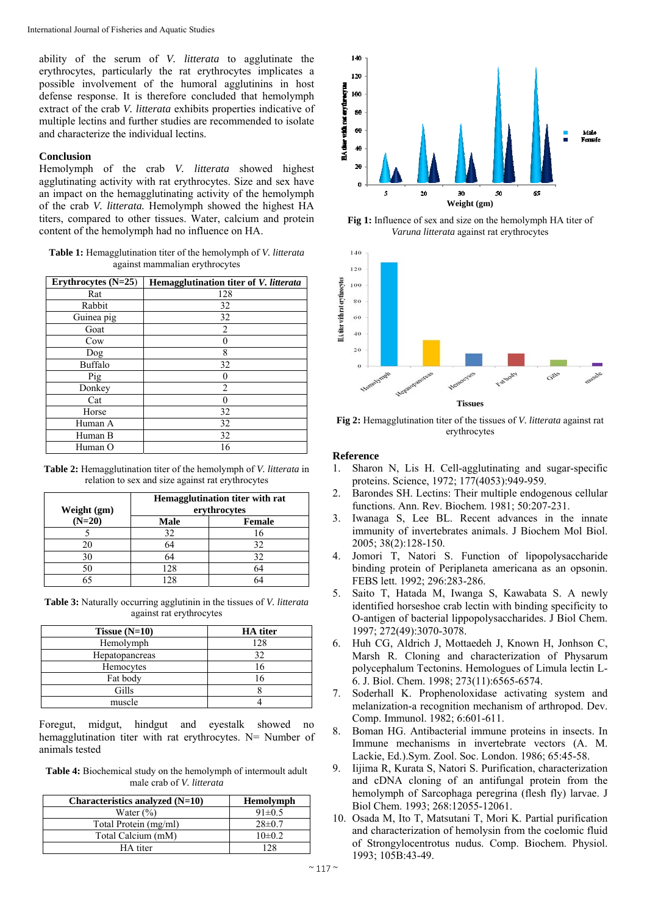ability of the serum of *V. litterata* to agglutinate the erythrocytes, particularly the rat erythrocytes implicates a possible involvement of the humoral agglutinins in host defense response. It is therefore concluded that hemolymph extract of the crab *V. litterata* exhibits properties indicative of multiple lectins and further studies are recommended to isolate and characterize the individual lectins.

## **Conclusion**

Hemolymph of the crab *V. litterata* showed highest agglutinating activity with rat erythrocytes. Size and sex have an impact on the hemagglutinating activity of the hemolymph of the crab *V. litterata.* Hemolymph showed the highest HA titers, compared to other tissues. Water, calcium and protein content of the hemolymph had no influence on HA.

**Table 1:** Hemagglutination titer of the hemolymph of *V. litterata*  against mammalian erythrocytes

| Erythrocytes (N=25) | Hemagglutination titer of V. litterata |
|---------------------|----------------------------------------|
| Rat                 | 128                                    |
| Rabbit              | 32                                     |
| Guinea pig          | 32                                     |
| Goat                | 2                                      |
| Cow                 |                                        |
| Dog                 | 8                                      |
| Buffalo             | 32                                     |
| Pig                 |                                        |
| Donkey              | 2                                      |
| Cat                 |                                        |
| Horse               | 32                                     |
| Human A             | 32                                     |
| Human B             | 32                                     |
| Human O             | 16                                     |

**Table 2:** Hemagglutination titer of the hemolymph of *V. litterata* in relation to sex and size against rat erythrocytes

| Weight (gm) | Hemagglutination titer with rat<br>erythrocytes |               |
|-------------|-------------------------------------------------|---------------|
| $(N=20)$    | <b>Male</b>                                     | <b>Female</b> |
|             | 32                                              | 16            |
| 20          | 64                                              | 32            |
| 30          |                                                 | 32            |
| 50          | 128                                             | 64            |
|             |                                                 | 64            |

**Table 3:** Naturally occurring agglutinin in the tissues of *V. litterata*  against rat erythrocytes

| Tissue $(N=10)$ | <b>HA</b> titer |
|-----------------|-----------------|
| Hemolymph       | 128             |
| Hepatopancreas  |                 |
| Hemocytes       |                 |
| Fat body        |                 |
| Gills           |                 |
| muscle          |                 |

Foregut, midgut, hindgut and eyestalk showed no hemagglutination titer with rat erythrocytes. N= Number of animals tested

**Table 4:** Biochemical study on the hemolymph of intermoult adult male crab of *V. litterata*

| Characteristics analyzed $(N=10)$ | <b>Hemolymph</b> |
|-----------------------------------|------------------|
| Water $(\% )$                     | $91 \pm 0.5$     |
| Total Protein (mg/ml)             | $28\pm0.7$       |
| Total Calcium (mM)                | $10\pm 0.2$      |
| HA titer                          | 178              |



**Fig 1:** Influence of sex and size on the hemolymph HA titer of *Varuna litterata* against rat erythrocytes



**Fig 2:** Hemagglutination titer of the tissues of *V. litterata* against rat erythrocytes

## **Reference**

- 1. Sharon N, Lis H. Cell-agglutinating and sugar-specific proteins. Science, 1972; 177(4053):949-959.
- 2. Barondes SH. Lectins: Their multiple endogenous cellular functions. Ann. Rev. Biochem. 1981; 50:207-231.
- 3. Iwanaga S, Lee BL. Recent advances in the innate immunity of invertebrates animals. J Biochem Mol Biol. 2005; 38(2):128-150.
- 4. Jomori T, Natori S. Function of lipopolysaccharide binding protein of Periplaneta americana as an opsonin. FEBS lett. 1992; 296:283-286.
- 5. Saito T, Hatada M, Iwanga S, Kawabata S. A newly identified horseshoe crab lectin with binding specificity to O-antigen of bacterial lippopolysaccharides. J Biol Chem. 1997; 272(49):3070-3078.
- 6. Huh CG, Aldrich J, Mottaedeh J, Known H, Jonhson C, Marsh R. Cloning and characterization of Physarum polycephalum Tectonins. Hemologues of Limula lectin L-6. J. Biol. Chem. 1998; 273(11):6565-6574.
- 7. Soderhall K. Prophenoloxidase activating system and melanization-a recognition mechanism of arthropod. Dev. Comp. Immunol. 1982; 6:601-611.
- 8. Boman HG. Antibacterial immune proteins in insects. In Immune mechanisms in invertebrate vectors (A. M. Lackie, Ed.).Sym. Zool. Soc. London. 1986; 65:45-58.
- 9. Iijima R, Kurata S, Natori S. Purification, characterization and cDNA cloning of an antifungal protein from the hemolymph of Sarcophaga peregrina (flesh fly) larvae. J Biol Chem. 1993; 268:12055-12061.
- 10. Osada M, Ito T, Matsutani T, Mori K. Partial purification and characterization of hemolysin from the coelomic fluid of Strongylocentrotus nudus. Comp. Biochem. Physiol. 1993; 105B:43-49.